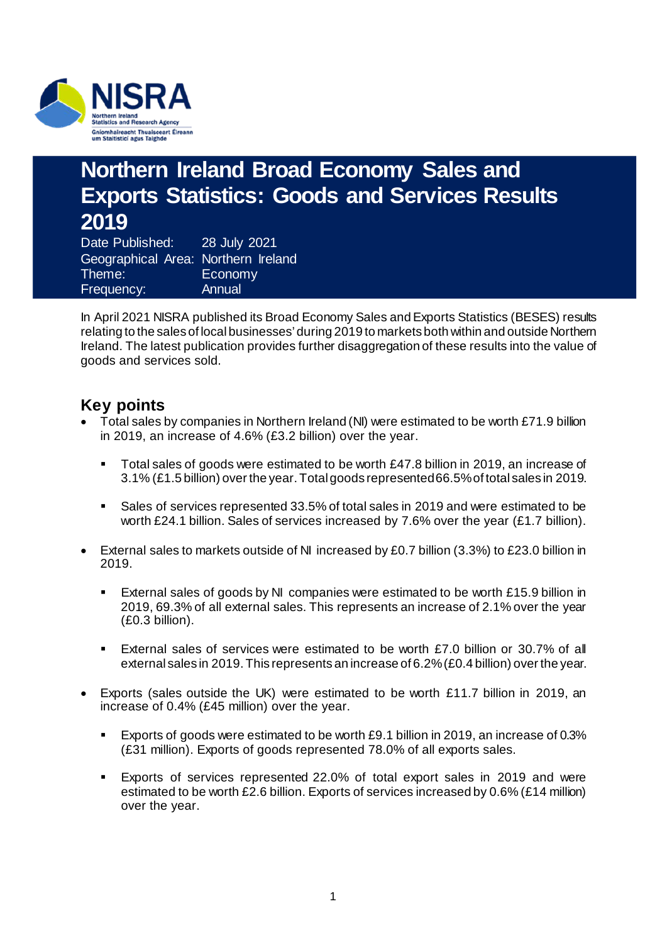

## **Northern Ireland Broad Economy Sales and Exports Statistics: Goods and Services Results 2019**

Date Published: 28 July 2021 Geographical Area: Northern Ireland Theme: Economy Frequency: Annual

In April 2021 NISRA published its Broad Economy Sales and Exports Statistics (BESES) results relating to the sales of local businesses' during 2019 to markets both within and outside Northern Ireland. The latest publication provides further disaggregation of these results into the value of goods and services sold.

### **Key points**

- Total sales by companies in Northern Ireland (NI) were estimated to be worth £71.9 billion in 2019, an increase of 4.6% (£3.2 billion) over the year.
	- Total sales of goods were estimated to be worth £47.8 billion in 2019, an increase of 3.1% (£1.5 billion) over the year.Total goods represented 66.5% of total sales in 2019.
	- Sales of services represented 33.5% of total sales in 2019 and were estimated to be worth £24.1 billion. Sales of services increased by 7.6% over the year (£1.7 billion).
- External sales to markets outside of NI increased by £0.7 billion (3.3%) to £23.0 billion in 2019.
	- External sales of goods by NI companies were estimated to be worth £15.9 billion in 2019, 69.3% of all external sales. This represents an increase of 2.1% over the year (£0.3 billion).
	- External sales of services were estimated to be worth £7.0 billion or 30.7% of all external sales in 2019. This represents an increase of 6.2% (£0.4 billion) over the year.
- Exports (sales outside the UK) were estimated to be worth £11.7 billion in 2019, an increase of 0.4% (£45 million) over the year.
	- Exports of goods were estimated to be worth £9.1 billion in 2019, an increase of 0.3% (£31 million). Exports of goods represented 78.0% of all exports sales.
	- Exports of services represented 22.0% of total export sales in 2019 and were estimated to be worth £2.6 billion. Exports of services increased by 0.6% (£14 million) over the year.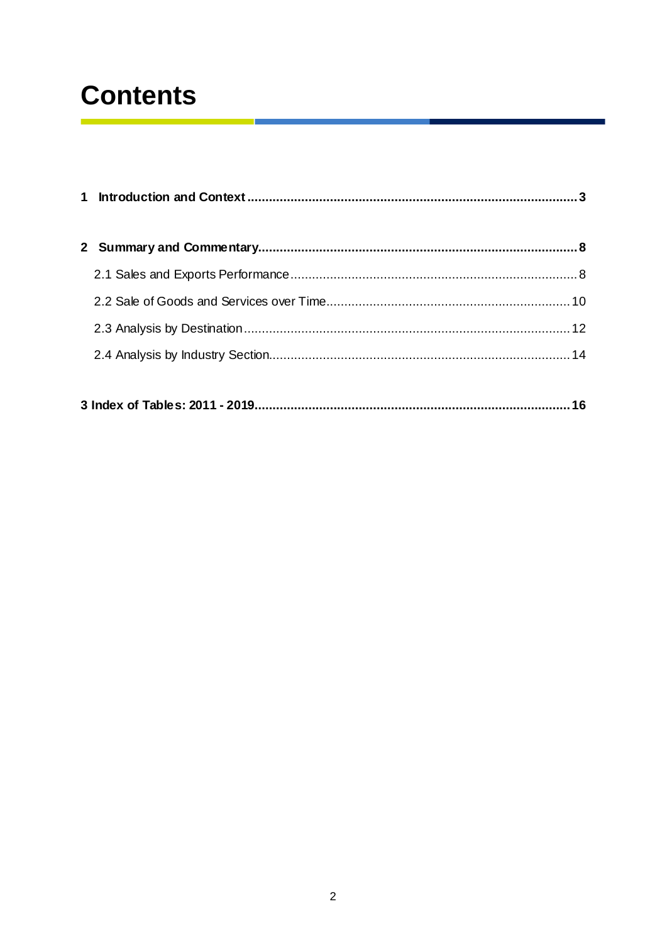## **Contents**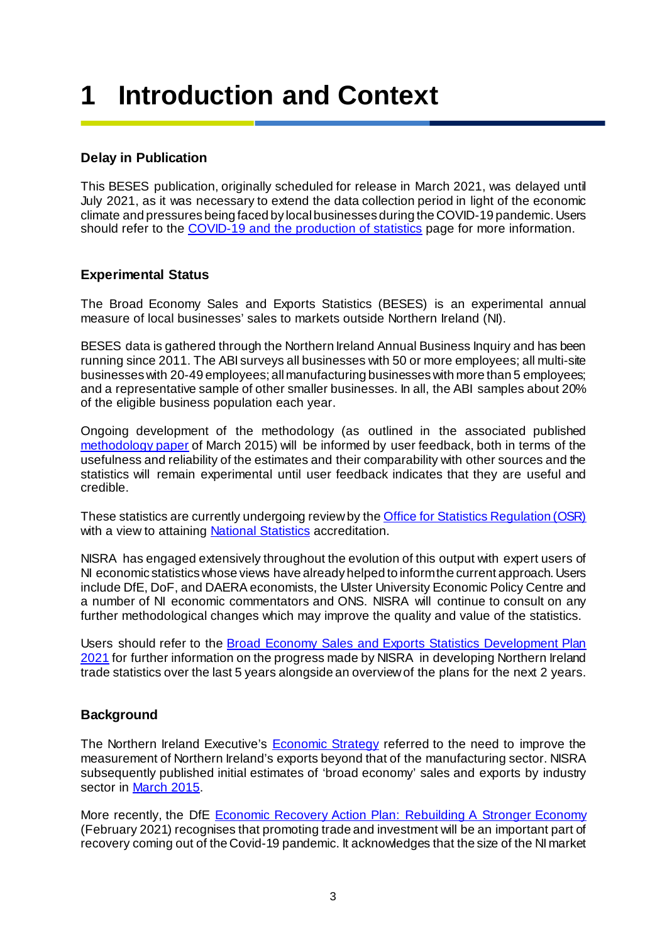## <span id="page-2-0"></span>**1 Introduction and Context**

### **Delay in Publication**

This BESES publication, originally scheduled for release in March 2021, was delayed until July 2021, as it was necessary to extend the data collection period in light of the economic climate and pressures being faced by local businesses during the COVID-19 pandemic. Users should refer to th[e COVID-19 and the production of statistic](https://www.nisra.gov.uk/news/covid-19-and-production-statistics)s page for more information.

### **Experimental Status**

The Broad Economy Sales and Exports Statistics (BESES) is an experimental annual measure of local businesses' sales to markets outside Northern Ireland (NI).

BESES data is gathered through the Northern Ireland Annual Business Inquiry and has been running since 2011. The ABI surveys all businesses with 50 or more employees; all multi-site businesses with 20-49 employees; all manufacturing businesses with more than 5 employees; and a representative sample of other smaller businesses. In all, the ABI samples about 20% of the eligible business population each year.

Ongoing development of the methodology (as outlined in the associated published [methodology paper](https://www.nisra.gov.uk/sites/nisra.gov.uk/files/publications/broad-economy-exports-methodology-paper-2011-and-2012_0.pdf) of March 2015) will be informed by user feedback, both in terms of the usefulness and reliability of the estimates and their comparability with other sources and the statistics will remain experimental until user feedback indicates that they are useful and credible.

These statistics are currently undergoing review by the **Office for Statistics Regulation (OSR)** with a view to attainin[g National Statistics](https://osr.statisticsauthority.gov.uk/national-statistics/) accreditation.

NISRA has engaged extensively throughout the evolution of this output with expert users of NI economic statistics whose views have already helped to inform the current approach. Users include DfE, DoF, and DAERA economists, the Ulster University Economic Policy Centre and a number of NI economic commentators and ONS. NISRA will continue to consult on any further methodological changes which may improve the quality and value of the statistics.

Users should refer to the [Broad Economy Sales and Exports Statistics Development Plan](https://www.nisra.gov.uk/system/files/statistics/BESES-development-plan-2021.pdf)  [2021](https://www.nisra.gov.uk/system/files/statistics/BESES-development-plan-2021.pdf) for further information on the progress made by NISRA in developing Northern Ireland trade statistics over the last 5 years alongside an overview of the plans for the next 2 years.

### **Background**

The Northern Ireland Executive's [Economic Strategy](https://www.northernireland.gov.uk/topics/work-executive/economic-strategy) referred to the need to improve the measurement of Northern Ireland's exports beyond that of the manufacturing sector. NISRA subsequently published initial estimates of 'broad economy' sales and exports by industry sector i[n March 2015](https://www.nisra.gov.uk/sites/nisra.gov.uk/files/publications/broad-economy-exports-methodology-paper-2011-and-2012_0.pdf).

More recently, the DfE [Economic Recovery Action Plan: Rebuilding A Stronger Economy](https://www.economy-ni.gov.uk/sites/default/files/publications/economy/dfe-economic-recovery-action-plan.pdf) (February 2021) recognises that promoting trade and investment will be an important part of recovery coming out of the Covid-19 pandemic. It acknowledges that the size of the NI market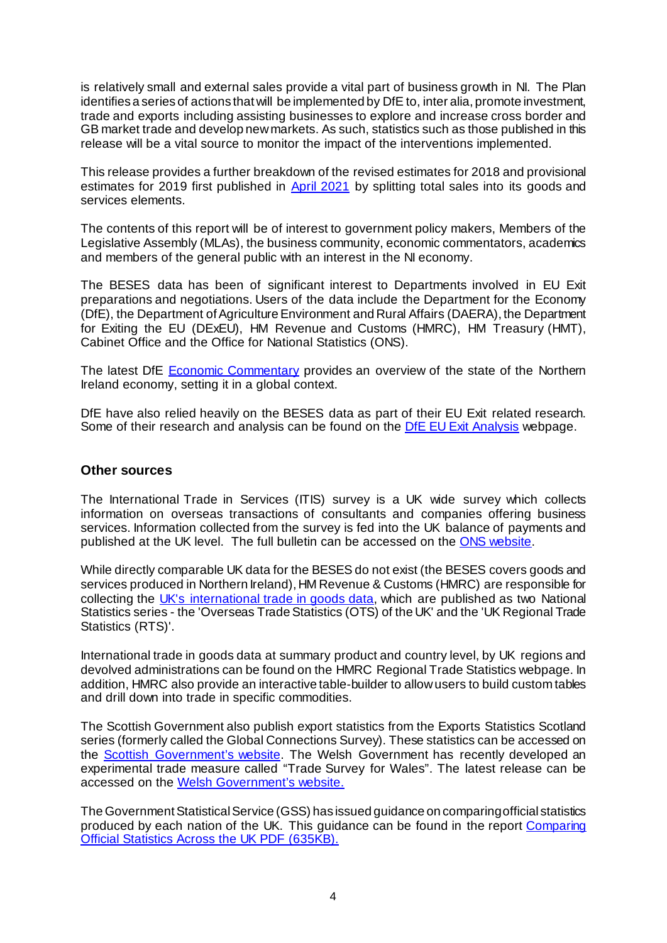is relatively small and external sales provide a vital part of business growth in NI. The Plan identifies a series of actions that will be implemented by DfE to, inter alia, promote investment, trade and exports including assisting businesses to explore and increase cross border and GB market trade and develop new markets. As such, statistics such as those published in this release will be a vital source to monitor the impact of the interventions implemented.

This release provides a further breakdown of the revised estimates for 2018 and provisional estimates for 2019 first published in [April 2021](https://www.nisra.gov.uk/sites/nisra.gov.uk/files/publications/BESES-Publication-2019-Headline-results.pdf) by splitting total sales into its goods and services elements.

The contents of this report will be of interest to government policy makers, Members of the Legislative Assembly (MLAs), the business community, economic commentators, academics and members of the general public with an interest in the NI economy.

The BESES data has been of significant interest to Departments involved in EU Exit preparations and negotiations. Users of the data include the Department for the Economy (DfE), the Department of Agriculture Environment and Rural Affairs (DAERA), the Department for Exiting the EU (DExEU), HM Revenue and Customs (HMRC), HM Treasury (HMT), Cabinet Office and the Office for National Statistics (ONS).

The latest DfE [Economic Commentary](https://www.economy-ni.gov.uk/publications/dfe-economic-commentary) provides an overview of the state of the Northern Ireland economy, setting it in a global context.

DfE have also relied heavily on the BESES data as part of their EU Exit related research. Some of their research and analysis can be found on t[he DfE EU Exit Analys](https://www.economy-ni.gov.uk/articles/eu-exit-analysis)is webpage.

#### **Other sources**

The International Trade in Services (ITIS) survey is a UK wide survey which collects information on overseas transactions of consultants and companies offering business services. Information collected from the survey is fed into the UK balance of payments and published at the UK level. The full bulletin can be accessed on t[he ONS websit](https://www.ons.gov.uk/businessindustryandtrade/internationaltrade/bulletins/internationaltradeinservices/2018)e.

While directly comparable UK data for the BESES do not exist (the BESES covers goods and services produced in Northern Ireland), HM Revenue & Customs (HMRC) are responsible for collecting the [UK's international trade in goods data,](https://www.uktradeinfo.com/) which are published as two National Statistics series - the 'Overseas Trade Statistics (OTS) of the UK' and the 'UK Regional Trade Statistics (RTS)'.

International trade in goods data at summary product and country level, by UK regions and devolved administrations can be found on the [HMRC Regional Trade Statistics webpage.](https://www.uktradeinfo.com/trade-data/regional/2021/uk-regional-trade-in-goods-statistics-first-quarter-2021/) In addition, HMRC also provide a[n interactive table-builder](https://www.uktradeinfo.com/trade-data/rts-custom-table/) to allow users to build custom tables and drill down into trade in specific commodities.

The Scottish Government also publish export statistics from the Exports Statistics Scotland series (formerly called the Global Connections Survey). These statistics can be accessed on the [Scottish Government's website.](https://www.gov.scot/publications/export-stats-scotland-2018/) The Welsh Government has recently developed an experimental trade measure called "Trade Survey for Wales". The latest release can be accessed on the [Welsh Government's website](https://gov.wales/trade-survey-wales-2018).

The Government Statistical Service (GSS) has issued guidance on comparing official statistics produced by each nation of the UK. This guidance can be found in the report [Comparing](https://gss.civilservice.gov.uk/wp-content/uploads/2014/02/Comparability-Report-Final.pdf)  [Official Statistics Across the UK PDF \(635KB\).](https://gss.civilservice.gov.uk/wp-content/uploads/2014/02/Comparability-Report-Final.pdf)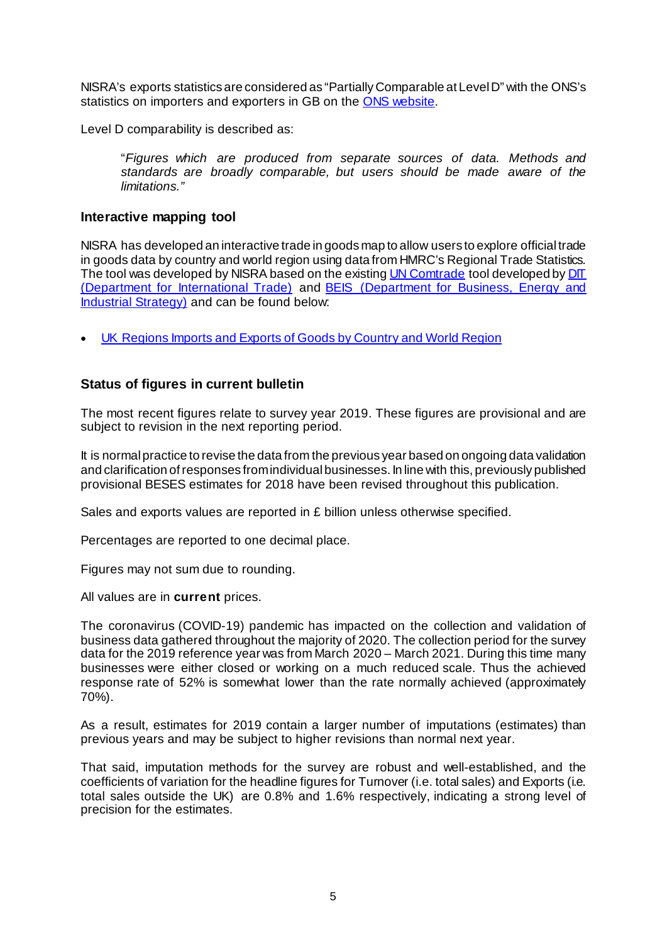NISRA's exports statistics are considered as "Partially Comparable at Level D" with the ONS's statistics on importers and exporters in GB on t[he ONS website](https://www.ons.gov.uk/businessindustryandtrade/business/businessservices/articles/annualbusinesssurvey/2018).

Level D comparability is described as:

"*Figures which are produced from separate sources of data. Methods and standards are broadly comparable, but users should be made aware of the limitations."*

### **Interactive mapping tool**

NISRA has developed an interactive trade in goods map to allow users to explore official trade in goods data by country and world region using data from HMRC's Regional Trade Statistics. The tool was developed by NISRA based on the existin[g UN Comtrade](https://comtrade.un.org/) tool developed by DIT [\(Department for International Trade\)](https://www.gov.uk/government/organisations/department-for-international-trade) and [BEIS \(Department for Business, Energy and](https://www.gov.uk/government/organisations/department-for-business-energy-and-industrial-strategy)  [Industrial Strategy\)](https://www.gov.uk/government/organisations/department-for-business-energy-and-industrial-strategy) and can be found below:

• [UK Regions Imports and Exports of Goods by Country and World Region](https://uktradeingoodsmap.nisra.gov.uk/)

### **Status of figures in current bulletin**

The most recent figures relate to survey year 2019. These figures are provisional and are subject to revision in the next reporting period.

It is normal practice to revise the data from the previous year based on ongoing data validation and clarification of responses from individual businesses. In line with this, previously published provisional BESES estimates for 2018 have been revised throughout this publication.

Sales and exports values are reported in £ billion unless otherwise specified.

Percentages are reported to one decimal place.

Figures may not sum due to rounding.

All values are in **current** prices.

The coronavirus (COVID-19) pandemic has impacted on the collection and validation of business data gathered throughout the majority of 2020. The collection period for the survey data for the 2019 reference year was from March 2020 – March 2021. During this time many businesses were either closed or working on a much reduced scale. Thus the achieved response rate of 52% is somewhat lower than the rate normally achieved (approximately 70%).

As a result, estimates for 2019 contain a larger number of imputations (estimates) than previous years and may be subject to higher revisions than normal next year.

That said, imputation methods for the survey are robust and well-established, and the coefficients of variation for the headline figures for Turnover (i.e. total sales) and Exports (i.e. total sales outside the UK) are 0.8% and 1.6% respectively, indicating a strong level of precision for the estimates.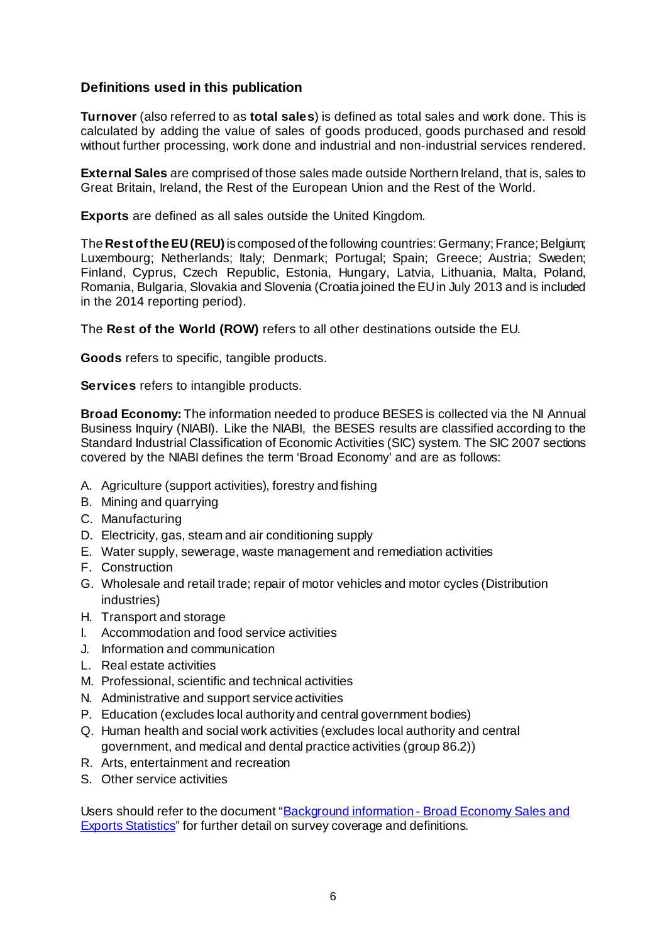### **Definitions used in this publication**

**Turnover** (also referred to as **total sales**) is defined as total sales and work done. This is calculated by adding the value of sales of goods produced, goods purchased and resold without further processing, work done and industrial and non-industrial services rendered.

**External Sales** are comprised of those sales made outside Northern Ireland, that is, sales to Great Britain, Ireland, the Rest of the European Union and the Rest of the World.

**Exports** are defined as all sales outside the United Kingdom.

The **Rest of the EU (REU)** is composed of the following countries: Germany; France; Belgium; Luxembourg; Netherlands; Italy; Denmark; Portugal; Spain; Greece; Austria; Sweden; Finland, Cyprus, Czech Republic, Estonia, Hungary, Latvia, Lithuania, Malta, Poland, Romania, Bulgaria, Slovakia and Slovenia (Croatia joined the EU in July 2013 and is included in the 2014 reporting period).

The **Rest of the World (ROW)** refers to all other destinations outside the EU.

**Goods** refers to specific, tangible products.

**Services** refers to intangible products.

**Broad Economy:** The information needed to produce BESES is collected via the NI Annual Business Inquiry (NIABI). Like the NIABI, the BESES results are classified according to the Standard Industrial Classification of Economic Activities (SIC) system. The SIC 2007 sections covered by the NIABI defines the term 'Broad Economy' and are as follows:

- A. Agriculture (support activities), forestry and fishing
- B. Mining and quarrying
- C. Manufacturing
- D. Electricity, gas, steam and air conditioning supply
- E. Water supply, sewerage, waste management and remediation activities
- F. Construction
- G. Wholesale and retail trade; repair of motor vehicles and motor cycles (Distribution industries)
- H. Transport and storage
- I. Accommodation and food service activities
- J. Information and communication
- L. Real estate activities
- M. Professional, scientific and technical activities
- N. Administrative and support service activities
- P. Education (excludes local authority and central government bodies)
- Q. Human health and social work activities (excludes local authority and central government, and medical and dental practice activities (group 86.2))
- R. Arts, entertainment and recreation
- S. Other service activities

Users should refer to the document "Background information - [Broad Economy Sales and](https://www.nisra.gov.uk/publications/background-information-broad-economy-sales-and-exports-statistics)  [Exports Statistics"](https://www.nisra.gov.uk/publications/background-information-broad-economy-sales-and-exports-statistics) for further detail on survey coverage and definitions.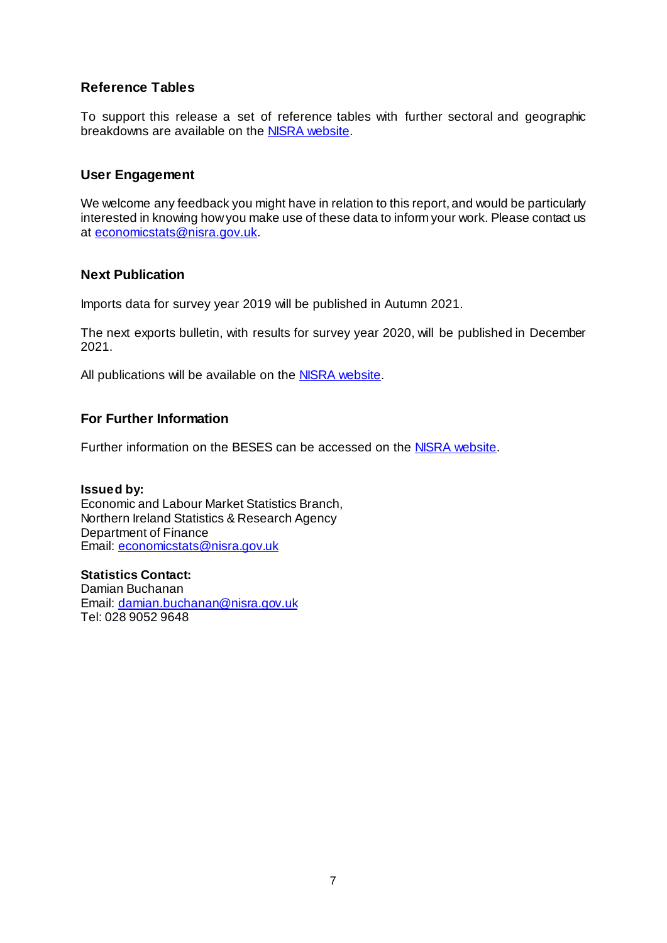### **Reference Tables**

To support this release a set of reference tables with further sectoral and geographic breakdowns are available on th[e NISRA website](https://www.nisra.gov.uk/sites/nisra.gov.uk/files/publications/BESES-goods-and-services-internet-tables-2011-2019.xlsx).

### **User Engagement**

We welcome any feedback you might have in relation to this report, and would be particularly interested in knowing how you make use of these data to inform your work. Please contact us at [economicstats@nisra.gov.uk](mailto:economicstats@nisra.gov.uk).

### **Next Publication**

Imports data for survey year 2019 will be published in Autumn 2021.

The next exports bulletin, with results for survey year 2020, will be published in December 2021.

All publications will be available on the **NISRA website**.

### **For Further Information**

Further information on the BESES can be accessed on t[he NISRA website](https://www.nisra.gov.uk/statistics/business-statistics/broad-economy-sales-and-exports-statistics).

### **Issued by:**

Economic and Labour Market Statistics Branch, Northern Ireland Statistics & Research Agency Department of Finance Email: [economicstats@nisra.gov.uk](mailto:economicstats@nisra.gov.uk)

**Statistics Contact:** Damian Buchanan Email: [damian.buchanan@nisra.gov.uk](mailto:damian.buchanan@nisra.gov.uk)  Tel: 028 9052 9648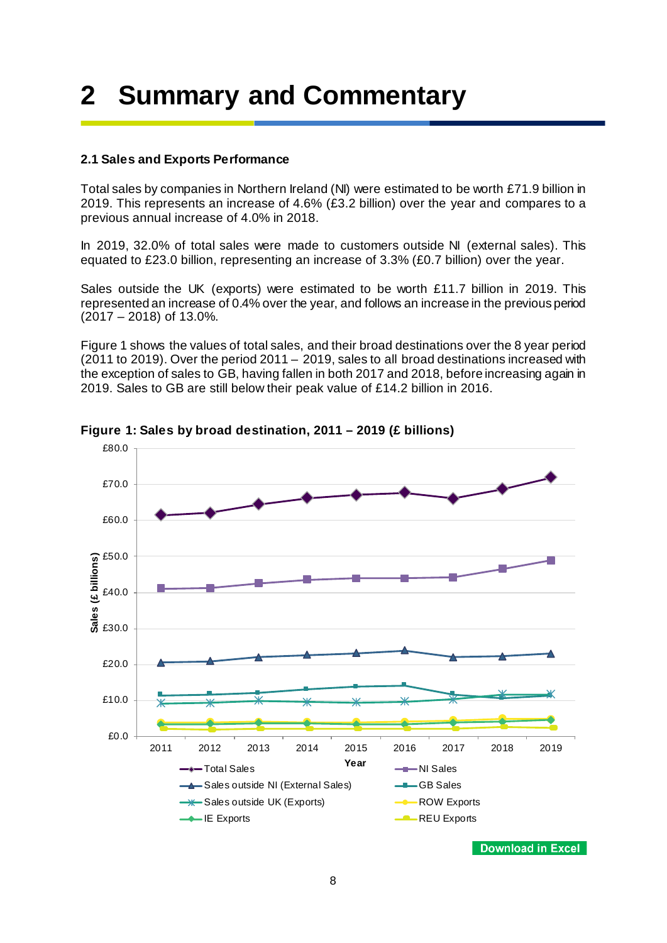# <span id="page-7-0"></span>**2 Summary and Commentary**

### <span id="page-7-1"></span>**2.1 Sales and Exports Performance**

Total sales by companies in Northern Ireland (NI) were estimated to be worth £71.9 billion in 2019. This represents an increase of 4.6% (£3.2 billion) over the year and compares to a previous annual increase of 4.0% in 2018.

In 2019, 32.0% of total sales were made to customers outside NI (external sales). This equated to £23.0 billion, representing an increase of 3.3% (£0.7 billion) over the year.

Sales outside the UK (exports) were estimated to be worth £11.7 billion in 2019. This represented an increase of 0.4% over the year, and follows an increase in the previous period (2017 – 2018) of 13.0%.

Figure 1 shows the values of total sales, and their broad destinations over the 8 year period (2011 to 2019). Over the period 2011 – 2019, sales to all broad destinations increased with the exception of sales to GB, having fallen in both 2017 and 2018, before increasing again in 2019. Sales to GB are still below their peak value of £14.2 billion in 2016.



**Figure 1: Sales by broad destination, 2011 – 2019 (£ billions)**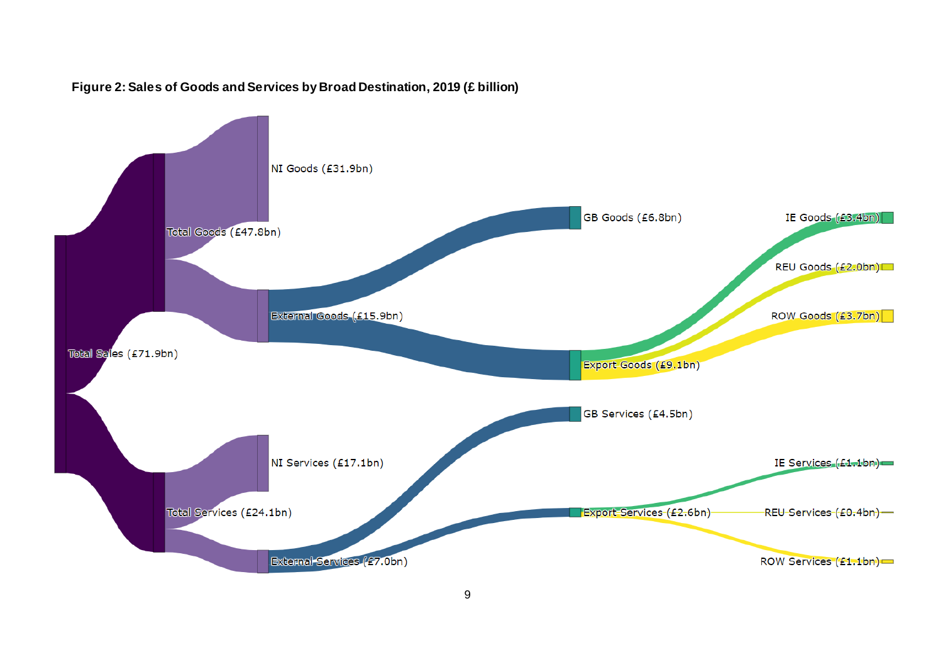

### **Figure 2: Sales of Goods and Services by Broad Destination, 2019 (£ billion)**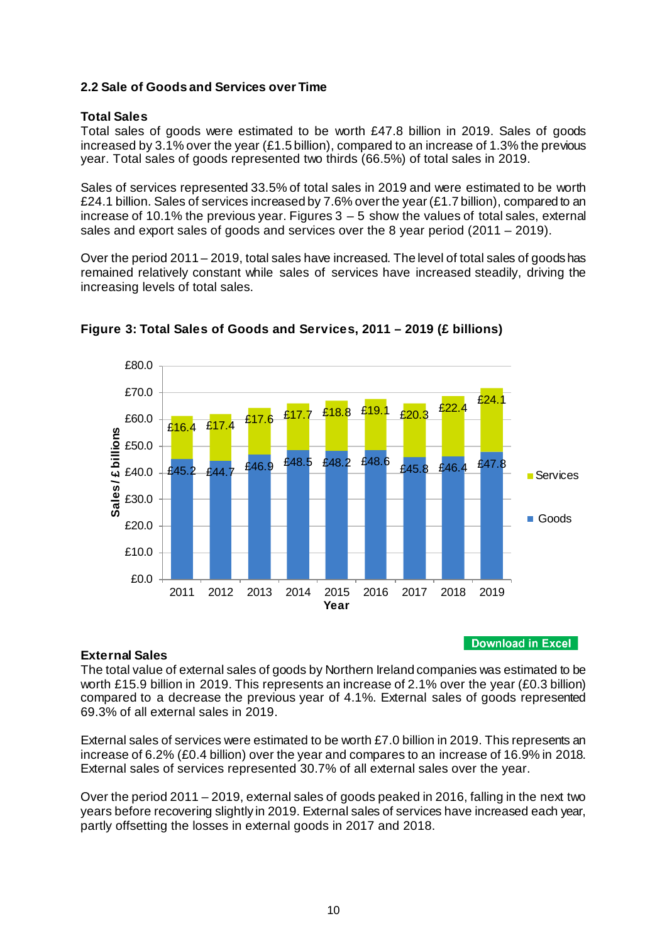### <span id="page-9-0"></span>**2.2 Sale of Goods and Services over Time**

### **Total Sales**

Total sales of goods were estimated to be worth £47.8 billion in 2019. Sales of goods increased by 3.1% over the year (£1.5 billion), compared to an increase of 1.3% the previous year. Total sales of goods represented two thirds (66.5%) of total sales in 2019.

Sales of services represented 33.5% of total sales in 2019 and were estimated to be worth £24.1 billion. Sales of services increased by 7.6% over the year (£1.7 billion), compared to an increase of 10.1% the previous year. Figures  $3 - 5$  show the values of total sales, external sales and export sales of goods and services over the 8 year period (2011 – 2019).

Over the period 2011 – 2019, total sales have increased. The level of total sales of goods has remained relatively constant while sales of services have increased steadily, driving the increasing levels of total sales.



**Figure 3: Total Sales of Goods and Services, 2011 – 2019 (£ billions)**

### **External Sales**

**Download in Excel** 

The total value of external sales of goods by Northern Ireland companies was estimated to be worth £15.9 billion in 2019. This represents an increase of 2.1% over the year (£0.3 billion) compared to a decrease the previous year of 4.1%. External sales of goods represented 69.3% of all external sales in 2019.

External sales of services were estimated to be worth £7.0 billion in 2019. This represents an increase of 6.2% (£0.4 billion) over the year and compares to an increase of 16.9% in 2018. External sales of services represented 30.7% of all external sales over the year.

Over the period 2011 – 2019, external sales of goods peaked in 2016, falling in the next two years before recovering slightly in 2019. External sales of services have increased each year, partly offsetting the losses in external goods in 2017 and 2018.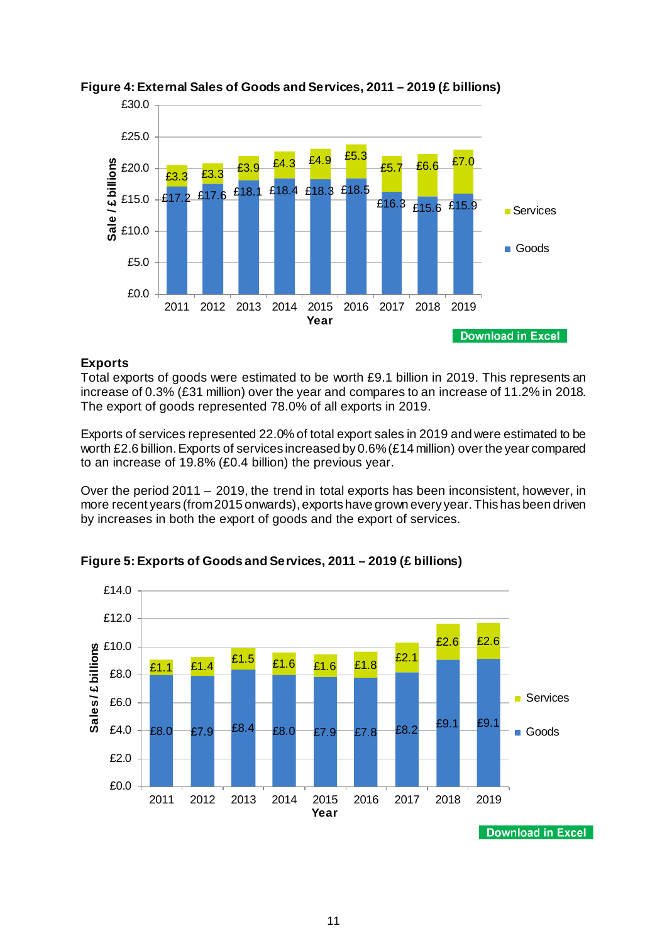

### **Figure 4: External Sales of Goods and Services, 2011 – 2019 (£ billions)**

### **Exports**

Total exports of goods were estimated to be worth £9.1 billion in 2019. This represents an increase of 0.3% (£31 million) over the year and compares to an increase of 11.2% in 2018. The export of goods represented 78.0% of all exports in 2019.

Exports of services represented 22.0% of total export sales in 2019 and were estimated to be worth £2.6 billion. Exports of services increased by 0.6% (£14 million) over the year compared to an increase of 19.8% (£0.4 billion) the previous year.

Over the period 2011 – 2019, the trend in total exports has been inconsistent, however, in more recent years (from 2015 onwards), exports have grown every year. This has been driven by increases in both the export of goods and the export of services.



**Figure 5: Exports of Goods and Services, 2011 – 2019 (£ billions)**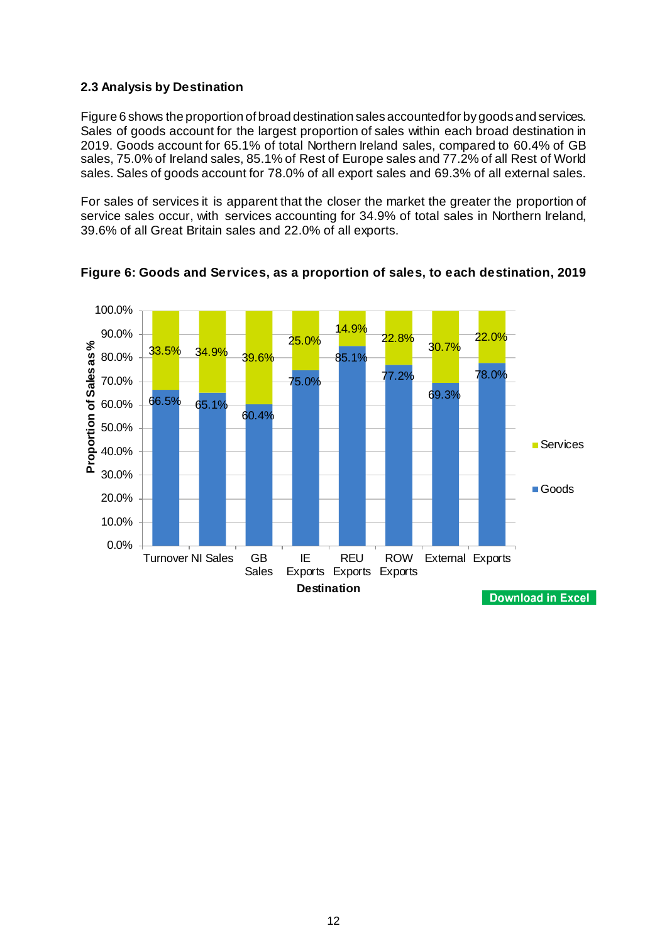### <span id="page-11-0"></span>**2.3 Analysis by Destination**

Figure 6 shows the proportion of broad destination sales accounted for by goods and services. Sales of goods account for the largest proportion of sales within each broad destination in 2019. Goods account for 65.1% of total Northern Ireland sales, compared to 60.4% of GB sales, 75.0% of Ireland sales, 85.1% of Rest of Europe sales and 77.2% of all Rest of World sales. Sales of goods account for 78.0% of all export sales and 69.3% of all external sales.

For sales of services it is apparent that the closer the market the greater the proportion of service sales occur, with services accounting for 34.9% of total sales in Northern Ireland, 39.6% of all Great Britain sales and 22.0% of all exports.



**Figure 6: Goods and Services, as a proportion of sales, to each destination, 2019**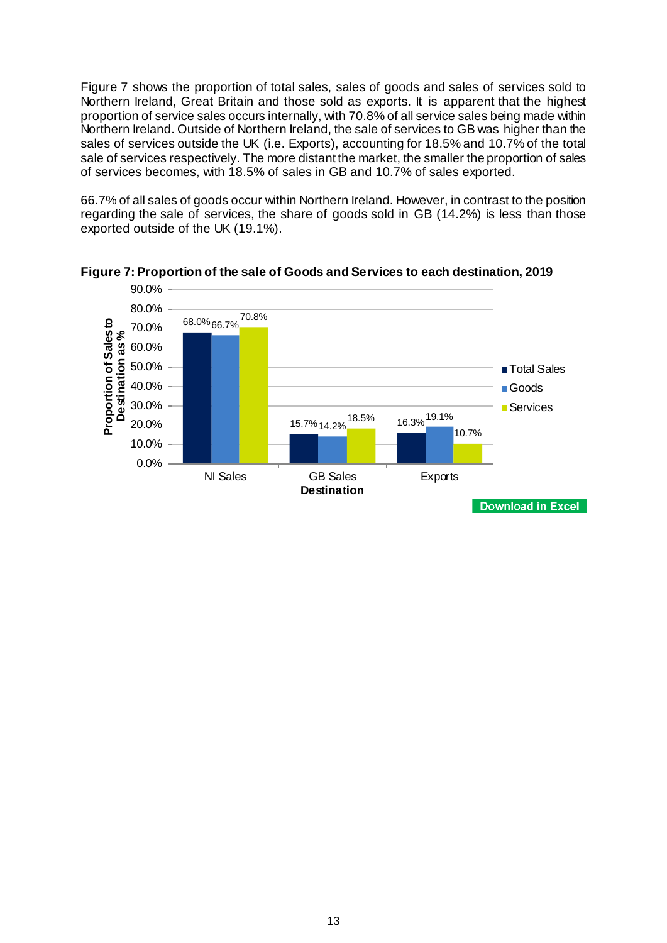Figure 7 shows the proportion of total sales, sales of goods and sales of services sold to Northern Ireland, Great Britain and those sold as exports. It is apparent that the highest proportion of service sales occurs internally, with 70.8% of all service sales being made within Northern Ireland. Outside of Northern Ireland, the sale of services to GB was higher than the sales of services outside the UK (i.e. Exports), accounting for 18.5% and 10.7% of the total sale of services respectively. The more distant the market, the smaller the proportion of sales of services becomes, with 18.5% of sales in GB and 10.7% of sales exported.

66.7% of all sales of goods occur within Northern Ireland. However, in contrast to the position regarding the sale of services, the share of goods sold in GB (14.2%) is less than those exported outside of the UK (19.1%).



**Figure 7: Proportion of the sale of Goods and Services to each destination, 2019**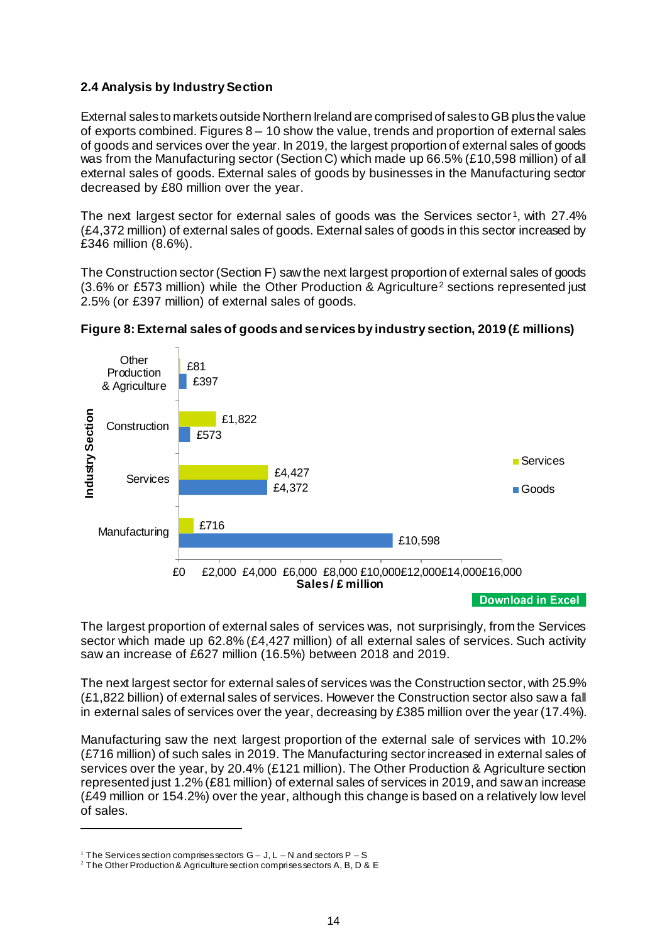### <span id="page-13-0"></span>**2.4 Analysis by Industry Section**

External sales to markets outside Northern Ireland are comprised of sales to GB plus the value of exports combined. Figures  $8 - 10$  show the value, trends and proportion of external sales of goods and services over the year. In 2019, the largest proportion of external sales of goods was from the Manufacturing sector (Section C) which made up 66.5% (£10,598 million) of all external sales of goods. External sales of goods by businesses in the Manufacturing sector decreased by £80 million over the year.

The next largest sector for external sales of goods was the Services sector<sup>1</sup>, with 27.4% (£4,372 million) of external sales of goods. External sales of goods in this sector increased by £346 million (8.6%).

The Construction sector (Section F) saw the next largest proportion of external sales of goods (3.6% or £573 million) while the Other Production & Agriculture[2](#page-13-2) sections represented just 2.5% (or £397 million) of external sales of goods.



### **Figure 8: External sales of goods and services by industry section, 2019 (£ millions)**

The largest proportion of external sales of services was, not surprisingly, from the Services sector which made up 62.8% (£4,427 million) of all external sales of services. Such activity saw an increase of £627 million (16.5%) between 2018 and 2019.

The next largest sector for external sales of services was the Construction sector, with 25.9% (£1,822 billion) of external sales of services. However the Construction sector also saw a fall in external sales of services over the year, decreasing by £385 million over the year (17.4%).

Manufacturing saw the next largest proportion of the external sale of services with 10.2% (£716 million) of such sales in 2019. The Manufacturing sector increased in external sales of services over the year, by 20.4% (£121 million). The Other Production & Agriculture section represented just 1.2% (£81 million) of external sales of services in 2019, and saw an increase (£49 million or 154.2%) over the year, although this change is based on a relatively low level of sales.

-

<sup>&</sup>lt;sup>1</sup> The Services section comprises sectors  $G - J$ ,  $L - N$  and sectors  $P - S$ <br><sup>2</sup> The Other Production & Agriculture section comprises sectors A, B, D & E

<span id="page-13-2"></span><span id="page-13-1"></span>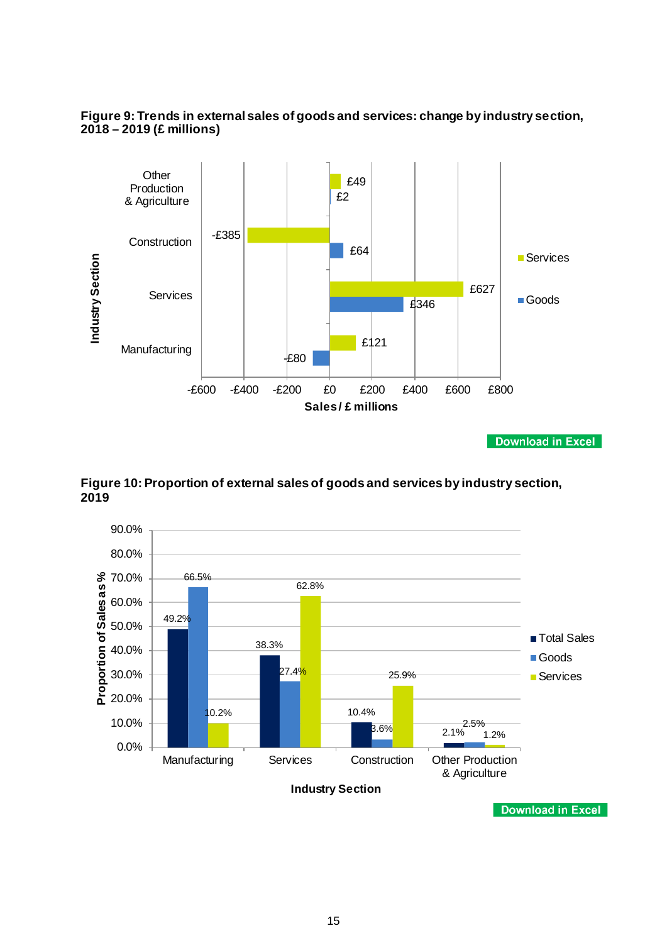



**Download in Excel** 

**Figure 10: Proportion of external sales of goods and services by industry section, 2019**

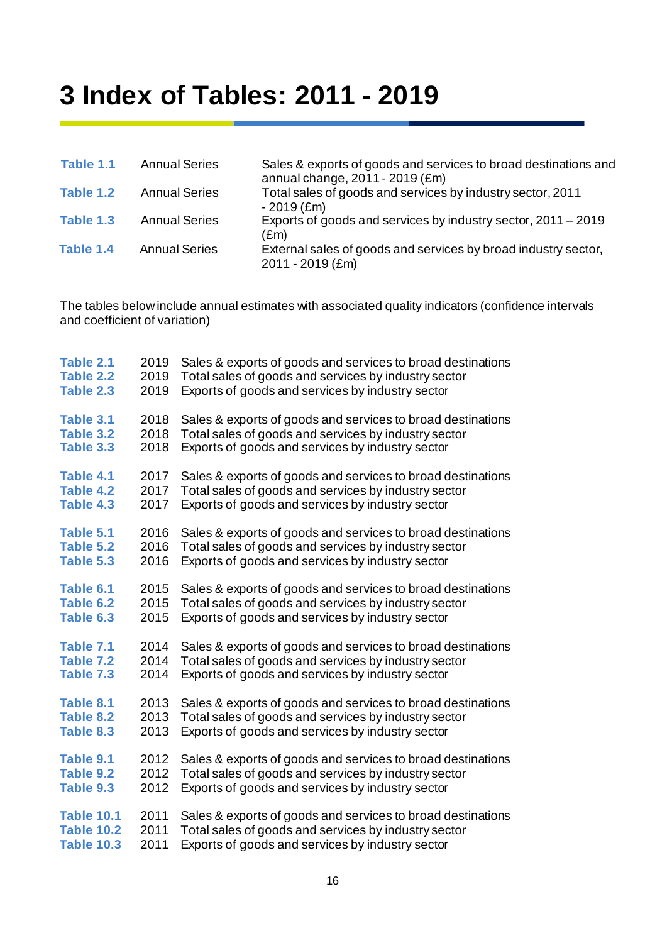## <span id="page-15-0"></span>**3 Index of Tables: 2011 - 2019**

| Table 1.1 | <b>Annual Series</b> | Sales & exports of goods and services to broad destinations and<br>annual change, 2011 - 2019 (£m) |
|-----------|----------------------|----------------------------------------------------------------------------------------------------|
| Table 1.2 | <b>Annual Series</b> | Total sales of goods and services by industry sector, 2011<br>$-2019$ (£m)                         |
| Table 1.3 | <b>Annual Series</b> | Exports of goods and services by industry sector, 2011 – 2019<br>(£m)                              |
| Table 1.4 | <b>Annual Series</b> | External sales of goods and services by broad industry sector,<br>$2011 - 2019$ (£m)               |
|           |                      |                                                                                                    |

The tables below include annual estimates with associated quality indicators (confidence intervals and coefficient of variation)

| Table 2.1         | 2019 | Sales & exports of goods and services to broad destinations |
|-------------------|------|-------------------------------------------------------------|
| Table 2.2         | 2019 | Total sales of goods and services by industry sector        |
| Table 2.3         | 2019 | Exports of goods and services by industry sector            |
| Table 3.1         | 2018 | Sales & exports of goods and services to broad destinations |
| Table 3.2         | 2018 | Total sales of goods and services by industry sector        |
| Table 3.3         | 2018 | Exports of goods and services by industry sector            |
| Table 4.1         | 2017 | Sales & exports of goods and services to broad destinations |
| Table 4.2         | 2017 | Total sales of goods and services by industry sector        |
| Table 4.3         | 2017 | Exports of goods and services by industry sector            |
| Table 5.1         | 2016 | Sales & exports of goods and services to broad destinations |
| Table 5.2         | 2016 | Total sales of goods and services by industry sector        |
| Table 5.3         | 2016 | Exports of goods and services by industry sector            |
| Table 6.1         | 2015 | Sales & exports of goods and services to broad destinations |
| Table 6.2         | 2015 | Total sales of goods and services by industry sector        |
| Table 6.3         | 2015 | Exports of goods and services by industry sector            |
| Table 7.1         | 2014 | Sales & exports of goods and services to broad destinations |
| Table 7.2         | 2014 | Total sales of goods and services by industry sector        |
| Table 7.3         | 2014 | Exports of goods and services by industry sector            |
| Table 8.1         | 2013 | Sales & exports of goods and services to broad destinations |
| Table 8.2         | 2013 | Total sales of goods and services by industry sector        |
| Table 8.3         | 2013 | Exports of goods and services by industry sector            |
| Table 9.1         | 2012 | Sales & exports of goods and services to broad destinations |
| Table 9.2         | 2012 | Total sales of goods and services by industry sector        |
| Table 9.3         | 2012 | Exports of goods and services by industry sector            |
| <b>Table 10.1</b> | 2011 | Sales & exports of goods and services to broad destinations |
| <b>Table 10.2</b> | 2011 | Total sales of goods and services by industry sector        |
| <b>Table 10.3</b> | 2011 | Exports of goods and services by industry sector            |
|                   |      |                                                             |